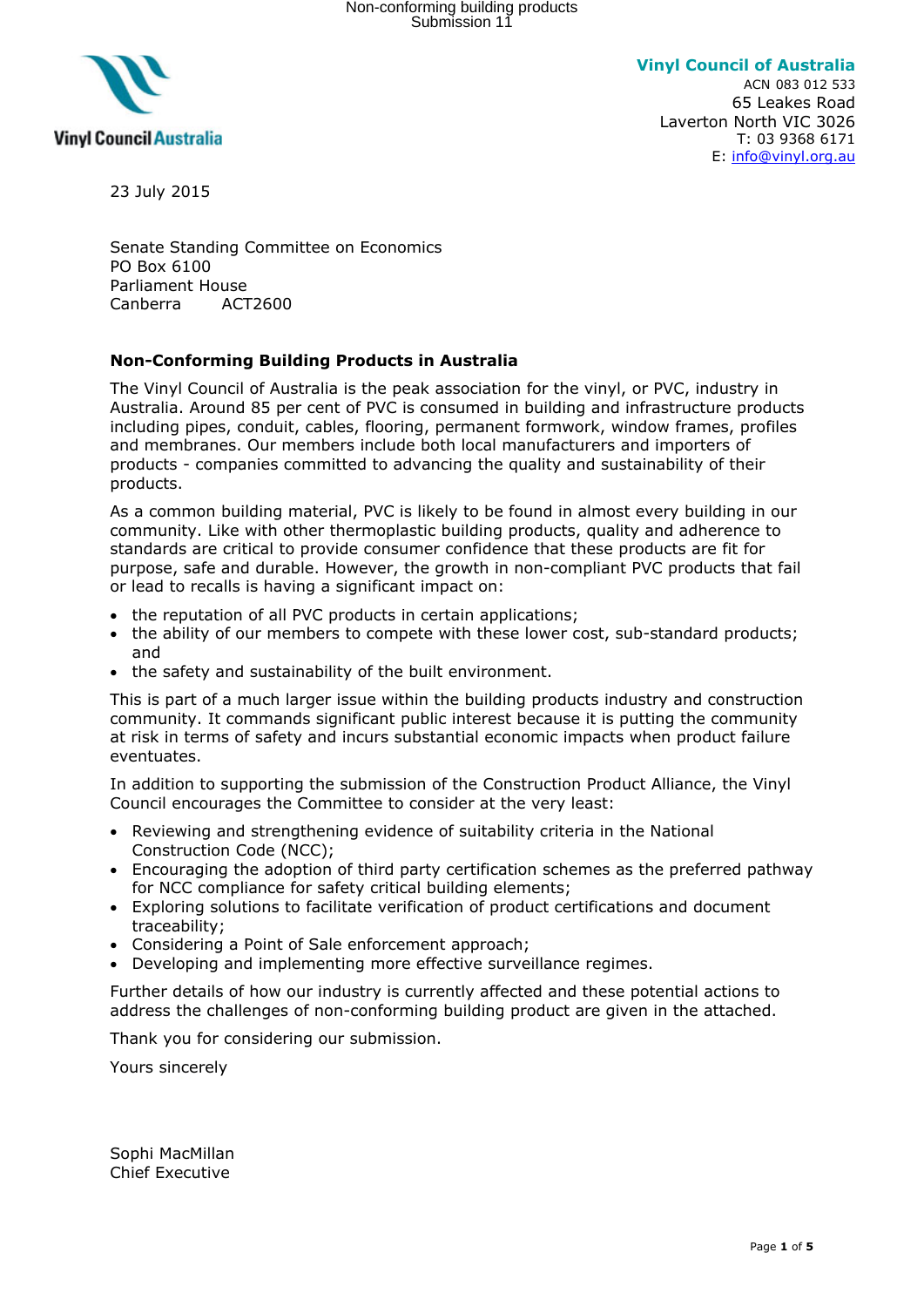

**Vinyl Council of Australia** ACN 083 012 533 65 Leakes Road Laverton North VIC 3026 T: 03 9368 6171 E: [info@vinyl.org.au](mailto:info@vinyl.org.au)

23 July 2015

Senate Standing Committee on Economics PO Box 6100 Parliament House Canberra ACT2600

## **Non-Conforming Building Products in Australia**

The Vinyl Council of Australia is the peak association for the vinyl, or PVC, industry in Australia. Around 85 per cent of PVC is consumed in building and infrastructure products including pipes, conduit, cables, flooring, permanent formwork, window frames, profiles and membranes. Our members include both local manufacturers and importers of products - companies committed to advancing the quality and sustainability of their products.

As a common building material, PVC is likely to be found in almost every building in our community. Like with other thermoplastic building products, quality and adherence to standards are critical to provide consumer confidence that these products are fit for purpose, safe and durable. However, the growth in non-compliant PVC products that fail or lead to recalls is having a significant impact on:

- the reputation of all PVC products in certain applications;
- the ability of our members to compete with these lower cost, sub-standard products; and
- the safety and sustainability of the built environment.

This is part of a much larger issue within the building products industry and construction community. It commands significant public interest because it is putting the community at risk in terms of safety and incurs substantial economic impacts when product failure eventuates.

In addition to supporting the submission of the Construction Product Alliance, the Vinyl Council encourages the Committee to consider at the very least:

- Reviewing and strengthening evidence of suitability criteria in the National Construction Code (NCC);
- Encouraging the adoption of third party certification schemes as the preferred pathway for NCC compliance for safety critical building elements;
- Exploring solutions to facilitate verification of product certifications and document traceability;
- Considering a Point of Sale enforcement approach;
- Developing and implementing more effective surveillance regimes.

Further details of how our industry is currently affected and these potential actions to address the challenges of non-conforming building product are given in the attached.

Thank you for considering our submission.

Yours sincerely

Sophi MacMillan Chief Executive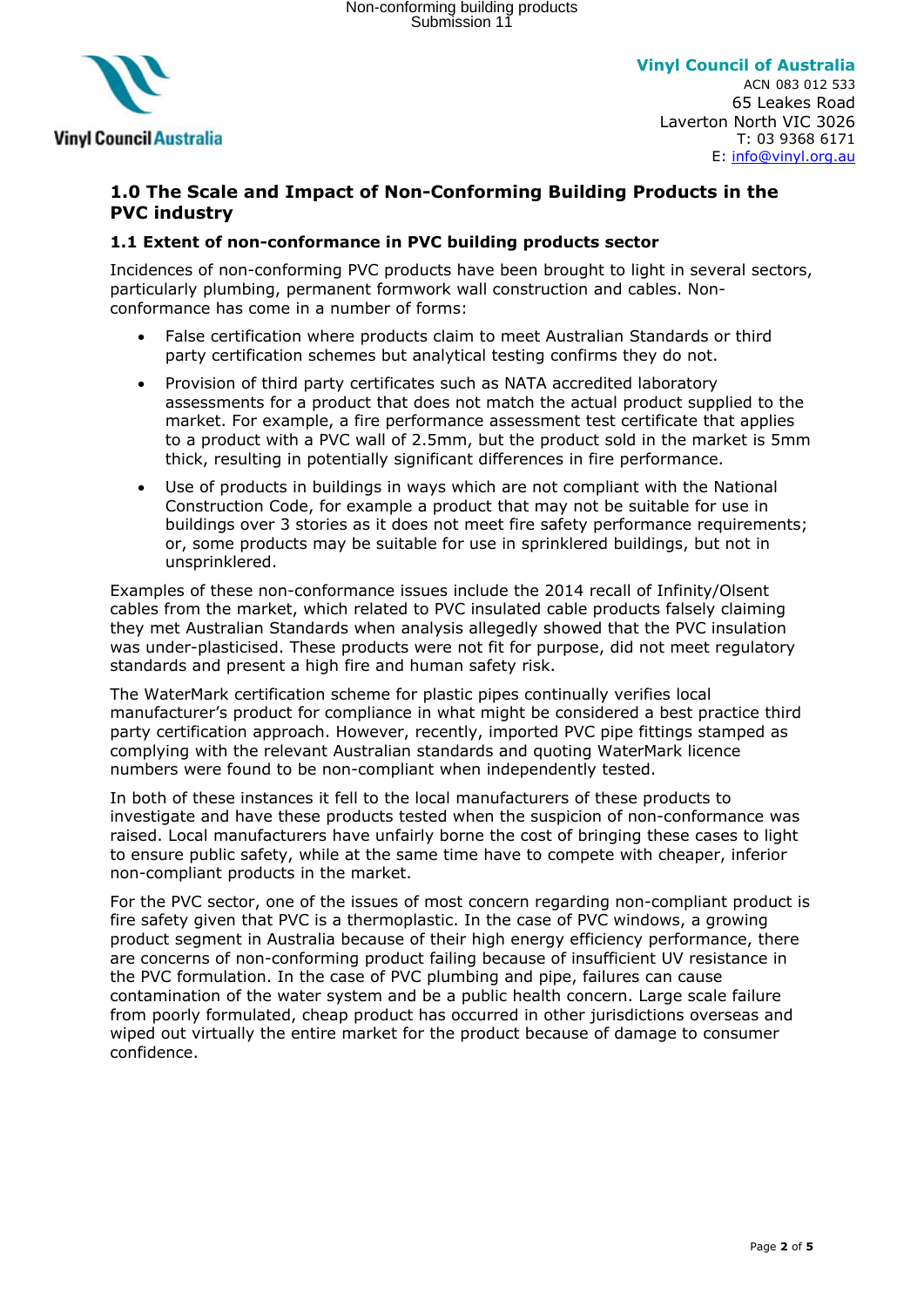

**Vinyl Council of Australia** ACN 083 012 533 65 Leakes Road Laverton North VIC 3026 T: 03 9368 6171 E: [info@vinyl.org.au](mailto:info@vinyl.org.au)

# **1.0 The Scale and Impact of Non-Conforming Building Products in the PVC industry**

## **1.1 Extent of non-conformance in PVC building products sector**

Incidences of non-conforming PVC products have been brought to light in several sectors, particularly plumbing, permanent formwork wall construction and cables. Nonconformance has come in a number of forms:

- False certification where products claim to meet Australian Standards or third party certification schemes but analytical testing confirms they do not.
- Provision of third party certificates such as NATA accredited laboratory assessments for a product that does not match the actual product supplied to the market. For example, a fire performance assessment test certificate that applies to a product with a PVC wall of 2.5mm, but the product sold in the market is 5mm thick, resulting in potentially significant differences in fire performance.
- Use of products in buildings in ways which are not compliant with the National Construction Code, for example a product that may not be suitable for use in buildings over 3 stories as it does not meet fire safety performance requirements; or, some products may be suitable for use in sprinklered buildings, but not in unsprinklered.

Examples of these non-conformance issues include the 2014 recall of Infinity/Olsent cables from the market, which related to PVC insulated cable products falsely claiming they met Australian Standards when analysis allegedly showed that the PVC insulation was under-plasticised. These products were not fit for purpose, did not meet regulatory standards and present a high fire and human safety risk.

The WaterMark certification scheme for plastic pipes continually verifies local manufacturer's product for compliance in what might be considered a best practice third party certification approach. However, recently, imported PVC pipe fittings stamped as complying with the relevant Australian standards and quoting WaterMark licence numbers were found to be non-compliant when independently tested.

In both of these instances it fell to the local manufacturers of these products to investigate and have these products tested when the suspicion of non-conformance was raised. Local manufacturers have unfairly borne the cost of bringing these cases to light to ensure public safety, while at the same time have to compete with cheaper, inferior non-compliant products in the market.

For the PVC sector, one of the issues of most concern regarding non-compliant product is fire safety given that PVC is a thermoplastic. In the case of PVC windows, a growing product segment in Australia because of their high energy efficiency performance, there are concerns of non-conforming product failing because of insufficient UV resistance in the PVC formulation. In the case of PVC plumbing and pipe, failures can cause contamination of the water system and be a public health concern. Large scale failure from poorly formulated, cheap product has occurred in other jurisdictions overseas and wiped out virtually the entire market for the product because of damage to consumer confidence.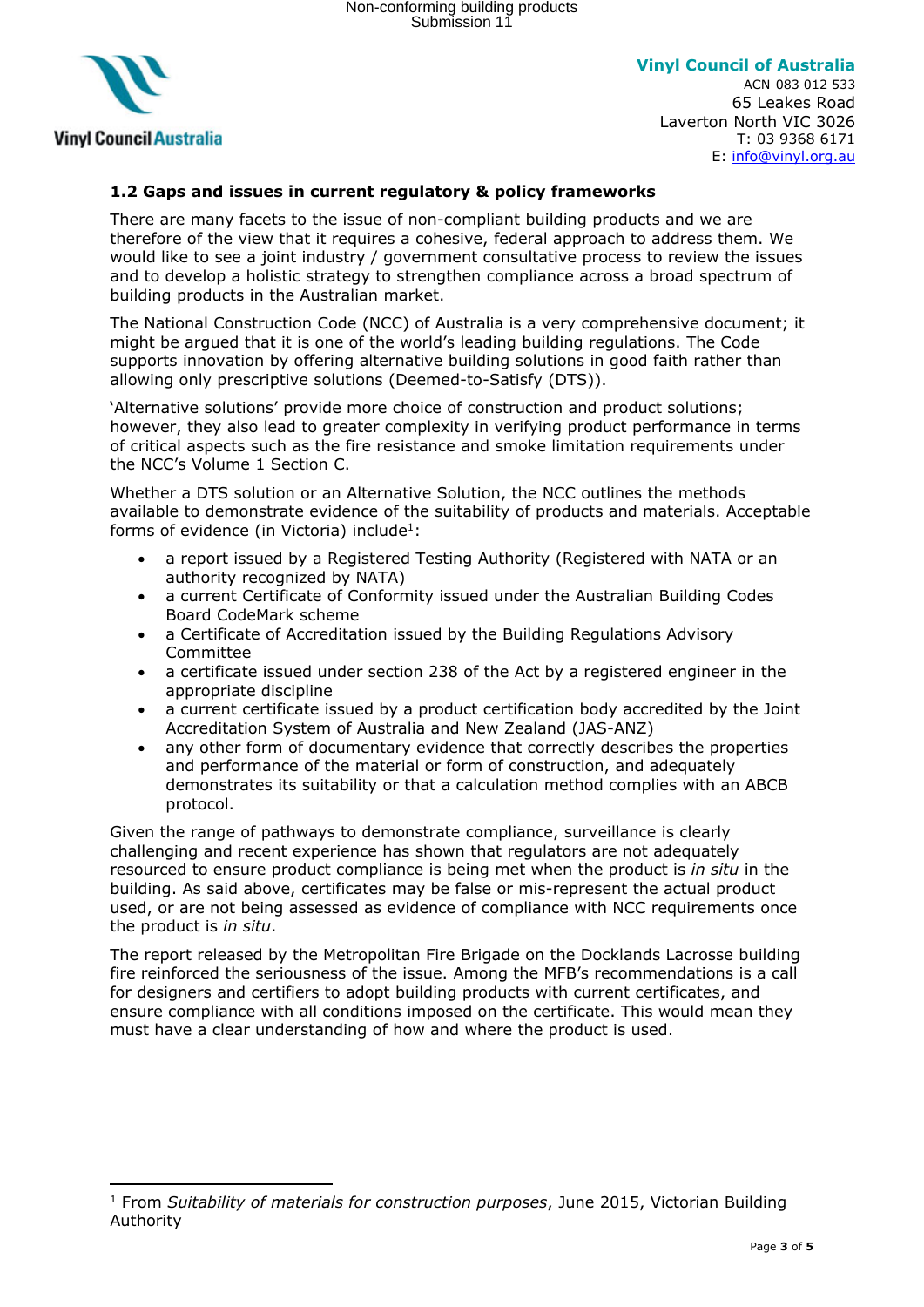

**Vinyl Council of Australia**

ACN 083 012 533 65 Leakes Road Laverton North VIC 3026 T: 03 9368 6171 E: [info@vinyl.org.au](mailto:info@vinyl.org.au)

## **1.2 Gaps and issues in current regulatory & policy frameworks**

There are many facets to the issue of non-compliant building products and we are therefore of the view that it requires a cohesive, federal approach to address them. We would like to see a joint industry / government consultative process to review the issues and to develop a holistic strategy to strengthen compliance across a broad spectrum of building products in the Australian market.

The National Construction Code (NCC) of Australia is a very comprehensive document; it might be argued that it is one of the world's leading building regulations. The Code supports innovation by offering alternative building solutions in good faith rather than allowing only prescriptive solutions (Deemed-to-Satisfy (DTS)).

'Alternative solutions' provide more choice of construction and product solutions; however, they also lead to greater complexity in verifying product performance in terms of critical aspects such as the fire resistance and smoke limitation requirements under the NCC's Volume 1 Section C.

Whether a DTS solution or an Alternative Solution, the NCC outlines the methods available to demonstrate evidence of the suitability of products and materials. Acceptable forms of evidence (in Victoria) include<sup>1</sup>:

- a report issued by a Registered Testing Authority (Registered with NATA or an authority recognized by NATA)
- a current Certificate of Conformity issued under the Australian Building Codes Board CodeMark scheme
- a Certificate of Accreditation issued by the Building Regulations Advisory Committee
- a certificate issued under section 238 of the Act by a registered engineer in the appropriate discipline
- a current certificate issued by a product certification body accredited by the Joint Accreditation System of Australia and New Zealand (JAS-ANZ)
- any other form of documentary evidence that correctly describes the properties and performance of the material or form of construction, and adequately demonstrates its suitability or that a calculation method complies with an ABCB protocol.

Given the range of pathways to demonstrate compliance, surveillance is clearly challenging and recent experience has shown that regulators are not adequately resourced to ensure product compliance is being met when the product is *in situ* in the building. As said above, certificates may be false or mis-represent the actual product used, or are not being assessed as evidence of compliance with NCC requirements once the product is *in situ*.

The report released by the Metropolitan Fire Brigade on the Docklands Lacrosse building fire reinforced the seriousness of the issue. Among the MFB's recommendations is a call for designers and certifiers to adopt building products with current certificates, and ensure compliance with all conditions imposed on the certificate. This would mean they must have a clear understanding of how and where the product is used.

<sup>1</sup> From *Suitability of materials for construction purposes*, June 2015, Victorian Building Authority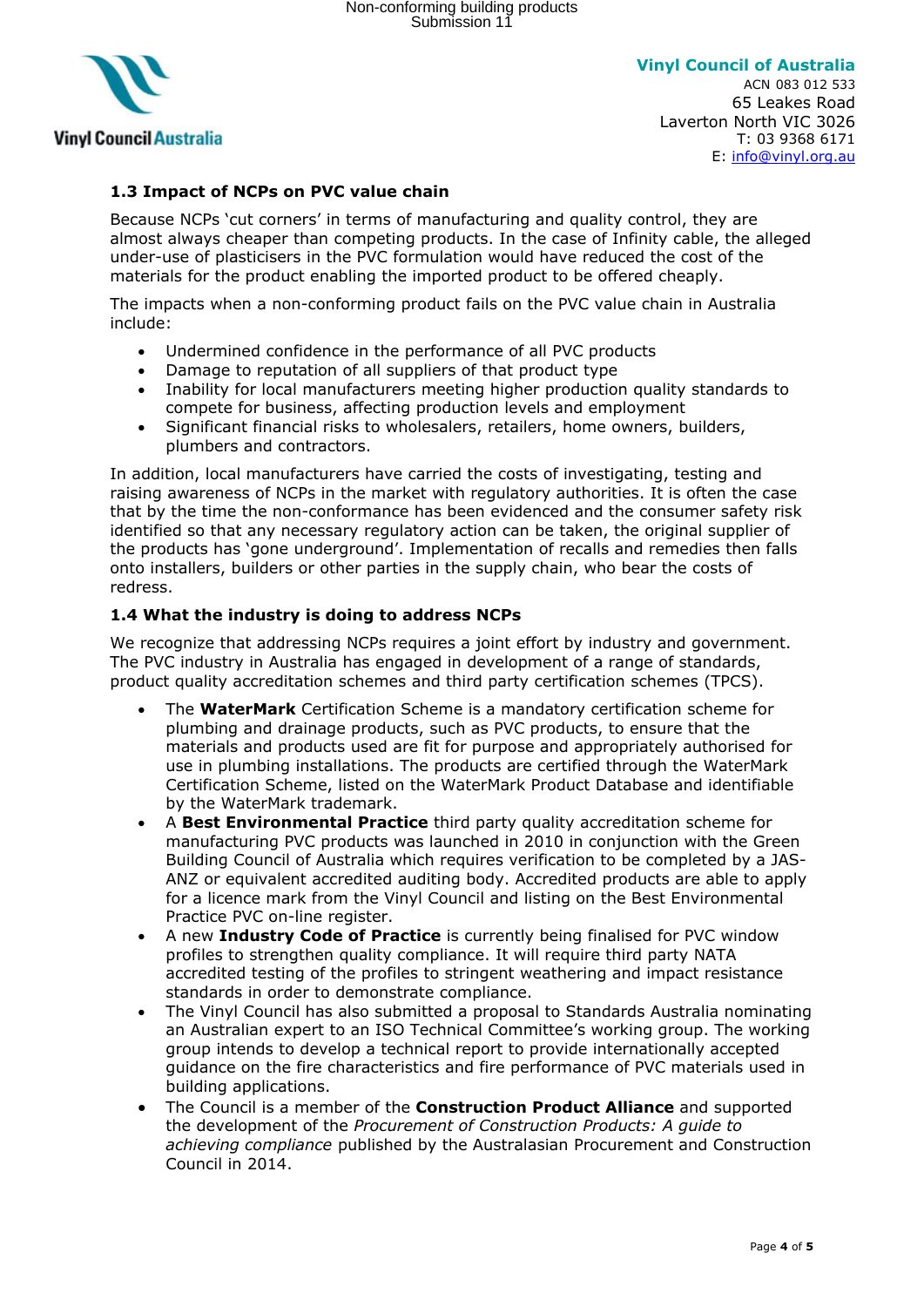

## **1.3 Impact of NCPs on PVC value chain**

Because NCPs 'cut corners' in terms of manufacturing and quality control, they are almost always cheaper than competing products. In the case of Infinity cable, the alleged under-use of plasticisers in the PVC formulation would have reduced the cost of the materials for the product enabling the imported product to be offered cheaply.

The impacts when a non-conforming product fails on the PVC value chain in Australia include:

- Undermined confidence in the performance of all PVC products
- Damage to reputation of all suppliers of that product type
- Inability for local manufacturers meeting higher production quality standards to compete for business, affecting production levels and employment
- Significant financial risks to wholesalers, retailers, home owners, builders, plumbers and contractors.

In addition, local manufacturers have carried the costs of investigating, testing and raising awareness of NCPs in the market with regulatory authorities. It is often the case that by the time the non-conformance has been evidenced and the consumer safety risk identified so that any necessary regulatory action can be taken, the original supplier of the products has 'gone underground'. Implementation of recalls and remedies then falls onto installers, builders or other parties in the supply chain, who bear the costs of redress.

#### **1.4 What the industry is doing to address NCPs**

We recognize that addressing NCPs requires a joint effort by industry and government. The PVC industry in Australia has engaged in development of a range of standards, product quality accreditation schemes and third party certification schemes (TPCS).

- The **WaterMark** Certification Scheme is a mandatory certification scheme for plumbing and drainage products, such as PVC products, to ensure that the materials and products used are fit for purpose and appropriately authorised for use in plumbing installations. The products are certified through the WaterMark Certification Scheme, listed on the WaterMark Product Database and identifiable by the WaterMark trademark.
- A **Best Environmental Practice** third party quality accreditation scheme for manufacturing PVC products was launched in 2010 in conjunction with the Green Building Council of Australia which requires verification to be completed by a JAS-ANZ or equivalent accredited auditing body. Accredited products are able to apply for a licence mark from the Vinyl Council and listing on the Best Environmental Practice PVC on-line register.
- A new **Industry Code of Practice** is currently being finalised for PVC window profiles to strengthen quality compliance. It will require third party NATA accredited testing of the profiles to stringent weathering and impact resistance standards in order to demonstrate compliance.
- The Vinyl Council has also submitted a proposal to Standards Australia nominating an Australian expert to an ISO Technical Committee's working group. The working group intends to develop a technical report to provide internationally accepted guidance on the fire characteristics and fire performance of PVC materials used in building applications.
- The Council is a member of the **Construction Product Alliance** and supported the development of the *Procurement of Construction Products: A guide to achieving compliance* published by the Australasian Procurement and Construction Council in 2014.